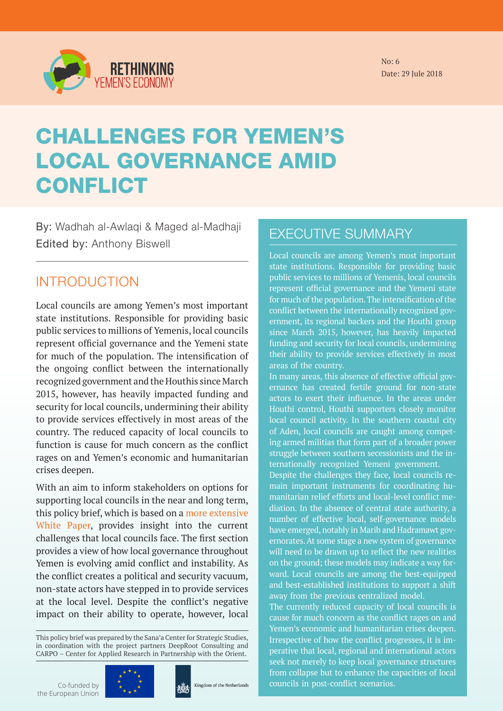

No: 6 Date: 29 Jule 2018

# CHALLENGES FOR YEMEN'S LOCAL GOVERNANCE AMID **CONFLICT**

By: Wadhah al-Awlaqi & Maged al-Madhaji Edited by: Anthony Biswell

### INTRODUCTION

Local councils are among Yemen's most important state institutions. Responsible for providing basic public services to millions of Yemenis, local councils represent official governance and the Yemeni state for much of the population. The intensification of the ongoing conflict between the internationally recognized government and the Houthis since March 2015, however, has heavily impacted funding and security for local councils, undermining their ability to provide services effectively in most areas of the country. The reduced capacity of local councils to function is cause for much concern as the conflict rages on and Yemen's economic and humanitarian crises deepen.

With an aim to inform stakeholders on options for supporting local councils in the near and long term, this policy brief, which is based on a [more extensive](http://devchampions.org/files/Rethinking_Yemens_Economy_No2_En.pdf)  [White Paper](http://devchampions.org/files/Rethinking_Yemens_Economy_No2_En.pdf), provides insight into the current challenges that local councils face. The first section provides a view of how local governance throughout Yemen is evolving amid conflict and instability. As the conflict creates a political and security vacuum, non-state actors have stepped in to provide services at the local level. Despite the conflict's negative impact on their ability to operate, however, local

This policy brief was prepared by the Sana'a Center for Strategic Studies, in coordination with the project partners DeepRoot Consulting and CARPO – Center for Applied Research in Partnership with the Orient.

Co-funded by the European Union





EXECUTIVE SUMMARY

Local councils are among Yemen's most important state institutions. Responsible for providing basic public services to millions of Yemenis, local councils represent official governance and the Yemeni state for much of the population. The intensification of the conflict between the internationally recognized government, its regional backers and the Houthi group since March 2015, however, has heavily impacted funding and security for local councils, undermining their ability to provide services effectively in most areas of the country.

In many areas, this absence of effective official governance has created fertile ground for non-state actors to exert their influence. In the areas under Houthi control, Houthi supporters closely monitor local council activity. In the southern coastal city of Aden, local councils are caught among competing armed militias that form part of a broader power struggle between southern secessionists and the internationally recognized Yemeni government.

Despite the challenges they face, local councils remain important instruments for coordinating humanitarian relief efforts and local-level conflict mediation. In the absence of central state authority, a number of effective local, self-governance models have emerged, notably in Marib and Hadramawt governorates. At some stage a new system of governance will need to be drawn up to reflect the new realities on the ground; these models may indicate a way forward. Local councils are among the best-equipped and best-established institutions to support a shift away from the previous centralized model.

The currently reduced capacity of local councils is cause for much concern as the conflict rages on and Yemen's economic and humanitarian crises deepen. Irrespective of how the conflict progresses, it is imperative that local, regional and international actors seek not merely to keep local governance structures from collapse but to enhance the capacities of local councils in post-conflict scenarios.

Rethinking Yemen's Economy | July 2018 1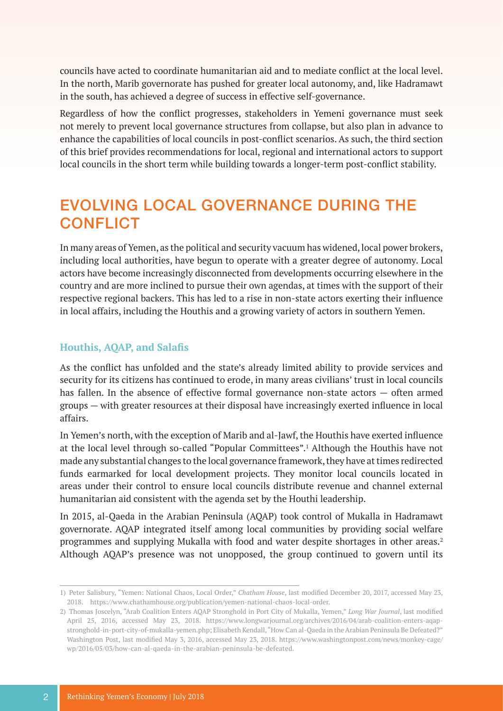councils have acted to coordinate humanitarian aid and to mediate conflict at the local level. In the north, Marib governorate has pushed for greater local autonomy, and, like Hadramawt in the south, has achieved a degree of success in effective self-governance.

Regardless of how the conflict progresses, stakeholders in Yemeni governance must seek not merely to prevent local governance structures from collapse, but also plan in advance to enhance the capabilities of local councils in post-conflict scenarios. As such, the third section of this brief provides recommendations for local, regional and international actors to support local councils in the short term while building towards a longer-term post-conflict stability.

### EVOLVING LOCAL GOVERNANCE DURING THE **CONFLICT**

In many areas of Yemen, as the political and security vacuum has widened, local power brokers, including local authorities, have begun to operate with a greater degree of autonomy. Local actors have become increasingly disconnected from developments occurring elsewhere in the country and are more inclined to pursue their own agendas, at times with the support of their respective regional backers. This has led to a rise in non-state actors exerting their influence in local affairs, including the Houthis and a growing variety of actors in southern Yemen.

#### **Houthis, AQAP, and Salafis**

As the conflict has unfolded and the state's already limited ability to provide services and security for its citizens has continued to erode, in many areas civilians' trust in local councils has fallen. In the absence of effective formal governance non-state actors — often armed groups — with greater resources at their disposal have increasingly exerted influence in local affairs.

In Yemen's north, with the exception of Marib and al-Jawf, the Houthis have exerted influence at the local level through so-called "Popular Committees".<sup>1</sup> Although the Houthis have not made any substantial changes to the local governance framework, they have at times redirected funds earmarked for local development projects. They monitor local councils located in areas under their control to ensure local councils distribute revenue and channel external humanitarian aid consistent with the agenda set by the Houthi leadership.

In 2015, al-Qaeda in the Arabian Peninsula (AQAP) took control of Mukalla in Hadramawt governorate. AQAP integrated itself among local communities by providing social welfare programmes and supplying Mukalla with food and water despite shortages in other areas.2 Although AQAP's presence was not unopposed, the group continued to govern until its

<sup>1)</sup> Peter Salisbury, "Yemen: National Chaos, Local Order," *Chatham House*, last modified December 20, 2017, accessed May 23, 2018. https://www.chathamhouse.org/publication/yemen-national-chaos-local-order.

<sup>2)</sup> Thomas Joscelyn, "Arab Coalition Enters AQAP Stronghold in Port City of Mukalla, Yemen," *Long War Journal*, last modified April 25, 2016, accessed May 23, 2018. https://www.longwarjournal.org/archives/2016/04/arab-coalition-enters-aqapstronghold-in-port-city-of-mukalla-yemen.php; Elisabeth Kendall, "How Can al-Qaeda in the Arabian Peninsula Be Defeated?" Washington Post, last modified May 3, 2016, accessed May 23, 2018. https://www.washingtonpost.com/news/monkey-cage/ wp/2016/05/03/how-can-al-qaeda-in-the-arabian-peninsula-be-defeated.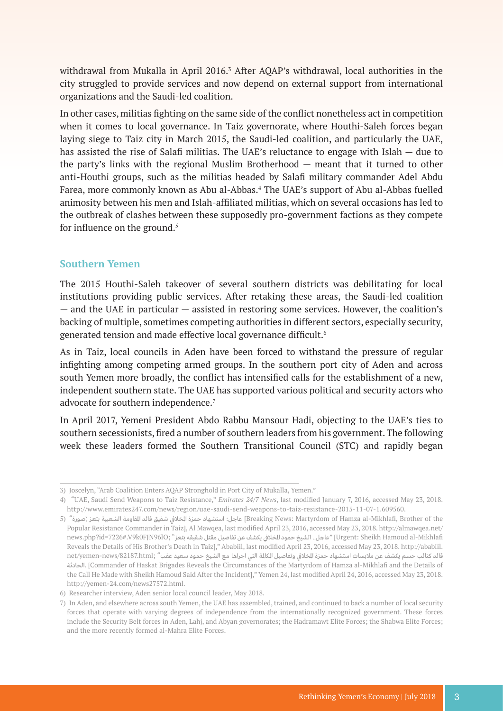withdrawal from Mukalla in April 2016.<sup>3</sup> After AQAP's withdrawal, local authorities in the city struggled to provide services and now depend on external support from international organizations and the Saudi-led coalition.

In other cases, militias fighting on the same side of the conflict nonetheless act in competition when it comes to local governance. In Taiz governorate, where Houthi-Saleh forces began laying siege to Taiz city in March 2015, the Saudi-led coalition, and particularly the UAE, has assisted the rise of Salafi militias. The UAE's reluctance to engage with Islah — due to the party's links with the regional Muslim Brotherhood — meant that it turned to other anti-Houthi groups, such as the militias headed by Salafi military commander Adel Abdu Farea, more commonly known as Abu al-Abbas.<sup>4</sup> The UAE's support of Abu al-Abbas fuelled animosity between his men and Islah-affiliated militias, which on several occasions has led to the outbreak of clashes between these supposedly pro-government factions as they compete for influence on the ground.<sup>5</sup>

#### **Southern Yemen**

The 2015 Houthi-Saleh takeover of several southern districts was debilitating for local institutions providing public services. After retaking these areas, the Saudi-led coalition — and the UAE in particular — assisted in restoring some services. However, the coalition's backing of multiple, sometimes competing authorities in different sectors, especially security, generated tension and made effective local governance difficult.<sup>6</sup>

As in Taiz, local councils in Aden have been forced to withstand the pressure of regular infighting among competing armed groups. In the southern port city of Aden and across south Yemen more broadly, the conflict has intensified calls for the establishment of a new, independent southern state. The UAE has supported various political and security actors who advocate for southern independence.<sup>7</sup>

In April 2017, Yemeni President Abdo Rabbu Mansour Hadi, objecting to the UAE's ties to southern secessionists, fired a number of southern leaders from his government. The following week these leaders formed the Southern Transitional Council (STC) and rapidly began

<sup>3)</sup> Joscelyn, "Arab Coalition Enters AQAP Stronghold in Port City of Mukalla, Yemen."

<sup>4) &</sup>quot;UAE, Saudi Send Weapons to Taiz Resistance," *Emirates 24/7 News*, last modified January 7, 2016, accessed May 23, 2018. http://www.emirates247.com/news/region/uae-saudi-send-weapons-to-taiz-resistance-2015-11-07-1.609560.

the of Brother ,Mikhlafi-al Hamza of Martyrdom :News Breaking [عاجـل: استشـهاد حمـزة املخـايف شـقيق قائـد املقاومـة الشـعبية بتعـز )صـورة" (5 Popular Resistance Commander in Taiz], Al Mawqea, last modified April 23, 2016, accessed May 23, 2018. http://almawqea.net/ news.php?id=7226#.V9k0FJN96lO; "عاجل.. الشيخ حمود الخلافي يكشف عن تفاصيل مقتل شقيقه بتعز " news.php?id=7226#.V9k0FJN96lO; Reveals the Details of His Brother's Death in Taiz]," Ababiil, last modified April 23, 2016, accessed May 23, 2018. http://ababiil. قائد كتائب حسم يكشف عن ملابسات استشهاد حمزة الخلافي وتفاصيل الكالمة التي اجراها مع الشيخ حمود سعيد عقب" ;net/yemen-news/82187.html الحادثـة.] Commander of Haskat Brigades Reveals the Circumstances of the Martyrdom of Hamza al-Mikhlafi and the Details of the Call He Made with Sheikh Hamoud Said After the Incident]," Yemen 24, last modified April 24, 2016, accessed May 23, 2018. http://yemen-24.com/news27572.html.

<sup>6)</sup> Researcher interview, Aden senior local council leader, May 2018.

<sup>7)</sup> In Aden, and elsewhere across south Yemen, the UAE has assembled, trained, and continued to back a number of local security forces that operate with varying degrees of independence from the internationally recognized government. These forces include the Security Belt forces in Aden, Lahj, and Abyan governorates; the Hadramawt Elite Forces; the Shabwa Elite Forces; and the more recently formed al-Mahra Elite Forces.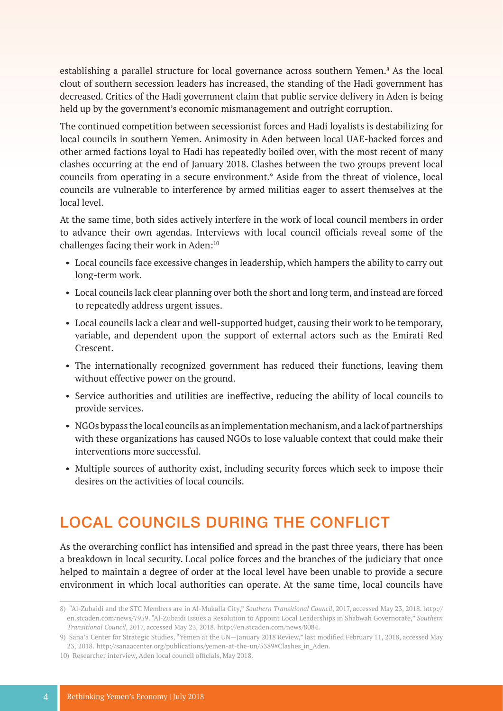establishing a parallel structure for local governance across southern Yemen.<sup>8</sup> As the local clout of southern secession leaders has increased, the standing of the Hadi government has decreased. Critics of the Hadi government claim that public service delivery in Aden is being held up by the government's economic mismanagement and outright corruption.

The continued competition between secessionist forces and Hadi loyalists is destabilizing for local councils in southern Yemen. Animosity in Aden between local UAE-backed forces and other armed factions loyal to Hadi has repeatedly boiled over, with the most recent of many clashes occurring at the end of January 2018. Clashes between the two groups prevent local councils from operating in a secure environment.<sup>9</sup> Aside from the threat of violence, local councils are vulnerable to interference by armed militias eager to assert themselves at the local level.

At the same time, both sides actively interfere in the work of local council members in order to advance their own agendas. Interviews with local council officials reveal some of the challenges facing their work in Aden:<sup>10</sup>

- Local councils face excessive changes in leadership, which hampers the ability to carry out long-term work.
- Local councils lack clear planning over both the short and long term, and instead are forced to repeatedly address urgent issues.
- Local councils lack a clear and well-supported budget, causing their work to be temporary, variable, and dependent upon the support of external actors such as the Emirati Red Crescent.
- The internationally recognized government has reduced their functions, leaving them without effective power on the ground.
- Service authorities and utilities are ineffective, reducing the ability of local councils to provide services.
- NGOs bypass the local councils as an implementation mechanism, and a lack of partnerships with these organizations has caused NGOs to lose valuable context that could make their interventions more successful.
- Multiple sources of authority exist, including security forces which seek to impose their desires on the activities of local councils.

# LOCAL COUNCILS DURING THE CONFLICT

As the overarching conflict has intensified and spread in the past three years, there has been a breakdown in local security. Local police forces and the branches of the judiciary that once helped to maintain a degree of order at the local level have been unable to provide a secure environment in which local authorities can operate. At the same time, local councils have

<sup>8)</sup> "Al-Zubaidi and the STC Members are in Al-Mukalla City," *Southern Transitional Council*, 2017, accessed May 23, 2018. http:// en.stcaden.com/news/7959. "Al-Zubaidi Issues a Resolution to Appoint Local Leaderships in Shabwah Governorate," *Southern Transitional Council*, 2017, accessed May 23, 2018. http://en.stcaden.com/news/8084.

<sup>9)</sup> Sana'a Center for Strategic Studies, "Yemen at the UN—January 2018 Review," last modified February 11, 2018, accessed May 23, 2018. http://sanaacenter.org/publications/yemen-at-the-un/5389#Clashes\_in\_Aden.

<sup>10)</sup> Researcher interview, Aden local council officials, May 2018.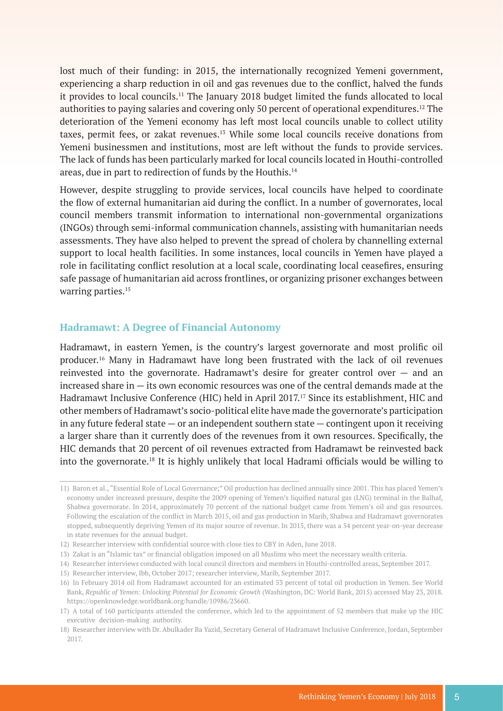lost much of their funding: in 2015, the internationally recognized Yemeni government, experiencing a sharp reduction in oil and gas revenues due to the conflict, halved the funds it provides to local councils.11 The January 2018 budget limited the funds allocated to local authorities to paying salaries and covering only 50 percent of operational expenditures.12 The deterioration of the Yemeni economy has left most local councils unable to collect utility taxes, permit fees, or zakat revenues.<sup>13</sup> While some local councils receive donations from Yemeni businessmen and institutions, most are left without the funds to provide services. The lack of funds has been particularly marked for local councils located in Houthi-controlled areas, due in part to redirection of funds by the Houthis.<sup>14</sup>

However, despite struggling to provide services, local councils have helped to coordinate the flow of external humanitarian aid during the conflict. In a number of governorates, local council members transmit information to international non-governmental organizations (INGOs) through semi-informal communication channels, assisting with humanitarian needs assessments. They have also helped to prevent the spread of cholera by channelling external support to local health facilities. In some instances, local councils in Yemen have played a role in facilitating conflict resolution at a local scale, coordinating local ceasefires, ensuring safe passage of humanitarian aid across frontlines, or organizing prisoner exchanges between warring parties.<sup>15</sup>

#### **Hadramawt: A Degree of Financial Autonomy**

Hadramawt, in eastern Yemen, is the country's largest governorate and most prolific oil producer.16 Many in Hadramawt have long been frustrated with the lack of oil revenues reinvested into the governorate. Hadramawt's desire for greater control over — and an increased share in — its own economic resources was one of the central demands made at the Hadramawt Inclusive Conference (HIC) held in April 2017.<sup>17</sup> Since its establishment, HIC and other members of Hadramawt's socio-political elite have made the governorate's participation in any future federal state — or an independent southern state — contingent upon it receiving a larger share than it currently does of the revenues from it own resources. Specifically, the HIC demands that 20 percent of oil revenues extracted from Hadramawt be reinvested back into the governorate.18 It is highly unlikely that local Hadrami officials would be willing to

<sup>11)</sup> Baron et al., "Essential Role of Local Governance;" Oil production has declined annually since 2001. This has placed Yemen's economy under increased pressure, despite the 2009 opening of Yemen's liquified natural gas (LNG) terminal in the Balhaf, Shabwa governorate. In 2014, approximately 70 percent of the national budget came from Yemen's oil and gas resources. Following the escalation of the conflict in March 2015, oil and gas production in Marib, Shabwa and Hadramawt governorates stopped, subsequently depriving Yemen of its major source of revenue. In 2015, there was a 54 percent year-on-year decrease in state revenues for the annual budget.

<sup>12)</sup> Researcher interview with confidential source with close ties to CBY in Aden, June 2018.

<sup>13)</sup> Zakat is an "Islamic tax" or financial obligation imposed on all Muslims who meet the necessary wealth criteria.

<sup>14)</sup> Researcher interviews conducted with local council directors and members in Houthi-controlled areas, September 2017.

<sup>15)</sup> Researcher interview, Ibb, October 2017; researcher interview, Marib, September 2017.

<sup>16)</sup> In February 2014 oil from Hadramawt accounted for an estimated 53 percent of total oil production in Yemen. See World Bank, *Republic of Yemen: Unlocking Potential for Economic Growth* (Washington, DC: World Bank, 2015) accessed May 23, 2018. https://openknowledge.worldbank.org/handle/10986/23660.

<sup>17)</sup> A total of 160 participants attended the conference, which led to the appointment of 52 members that make up the HIC executive decision-making authority.

<sup>18)</sup> Researcher interview with Dr. Abulkader Ba Yazid, Secretary General of Hadramawt Inclusive Conference, Jordan, September 2017.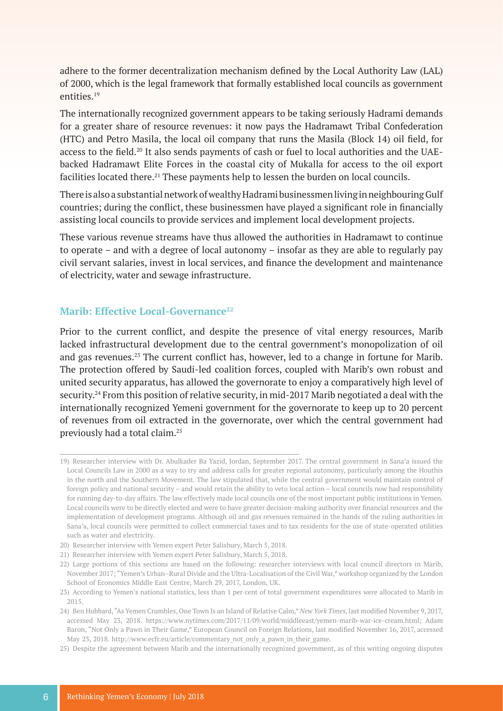adhere to the former decentralization mechanism defined by the Local Authority Law (LAL) of 2000, which is the legal framework that formally established local councils as government entities.19

The internationally recognized government appears to be taking seriously Hadrami demands for a greater share of resource revenues: it now pays the Hadramawt Tribal Confederation (HTC) and Petro Masila, the local oil company that runs the Masila (Block 14) oil field, for access to the field.20 It also sends payments of cash or fuel to local authorities and the UAEbacked Hadramawt Elite Forces in the coastal city of Mukalla for access to the oil export facilities located there.<sup>21</sup> These payments help to lessen the burden on local councils.

There is also a substantial network of wealthy Hadrami businessmen living in neighbouring Gulf countries; during the conflict, these businessmen have played a significant role in financially assisting local councils to provide services and implement local development projects.

These various revenue streams have thus allowed the authorities in Hadramawt to continue to operate – and with a degree of local autonomy – insofar as they are able to regularly pay civil servant salaries, invest in local services, and finance the development and maintenance of electricity, water and sewage infrastructure.

#### **Marib: Effective Local-Governance**<sup>22</sup>

Prior to the current conflict, and despite the presence of vital energy resources, Marib lacked infrastructural development due to the central government's monopolization of oil and gas revenues.<sup>23</sup> The current conflict has, however, led to a change in fortune for Marib. The protection offered by Saudi-led coalition forces, coupled with Marib's own robust and united security apparatus, has allowed the governorate to enjoy a comparatively high level of security.24 From this position of relative security, in mid-2017 Marib negotiated a deal with the internationally recognized Yemeni government for the governorate to keep up to 20 percent of revenues from oil extracted in the governorate, over which the central government had previously had a total claim.25

<sup>19)</sup> Researcher interview with Dr. Abulkader Ba Yazid, Jordan, September 2017. The central government in Sana'a issued the Local Councils Law in 2000 as a way to try and address calls for greater regional autonomy, particularly among the Houthis in the north and the Southern Movement. The law stipulated that, while the central government would maintain control of foreign policy and national security – and would retain the ability to veto local action – local councils now had responsibility for running day-to-day affairs. The law effectively made local councils one of the most important public institutions in Yemen. Local councils were to be directly elected and were to have greater decision-making authority over financial resources and the implementation of development programs. Although oil and gas revenues remained in the hands of the ruling authorities in Sana'a, local councils were permitted to collect commercial taxes and to tax residents for the use of state-operated utilities such as water and electricity.

<sup>20)</sup> Researcher interview with Yemen expert Peter Salisbury, March 5, 2018.

<sup>21)</sup> Researcher interview with Yemen expert Peter Salisbury, March 5, 2018.

<sup>22)</sup> Large portions of this sections are based on the following: researcher interviews with local council directors in Marib, November 2017; "Yemen's Urban–Rural Divide and the Ultra-Localisation of the Civil War," workshop organized by the London School of Economics Middle East Centre, March 29, 2017, London, UK.

<sup>23)</sup> According to Yemen's national statistics, less than 1 per cent of total government expenditures were allocated to Marib in 2015.

<sup>24)</sup> Ben Hubbard, "As Yemen Crumbles, One Town Is an Island of Relative Calm," *New York Times*, last modified November 9, 2017, accessed May 23, 2018. https://www.nytimes.com/2017/11/09/world/middleeast/yemen-marib-war-ice-cream.html; Adam Baron, "Not Only a Pawn in Their Game," European Council on Foreign Relations, last modified November 16, 2017, accessed May 23, 2018. http://www.ecfr.eu/article/commentary not only a pawn in their game.

<sup>25)</sup> Despite the agreement between Marib and the internationally recognized government, as of this writing ongoing disputes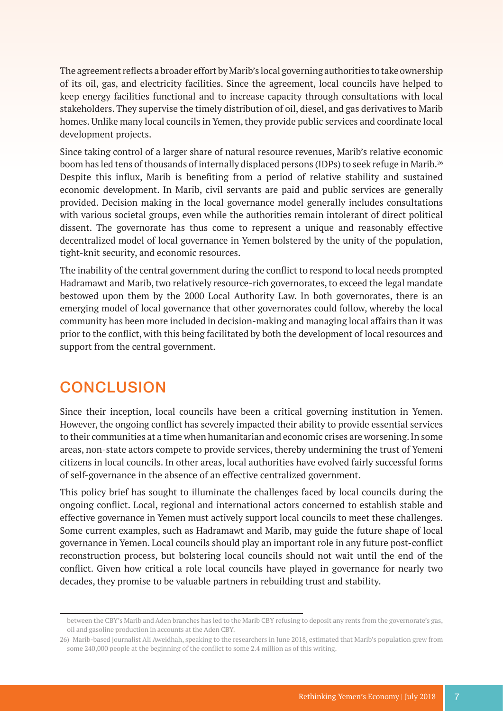The agreement reflects a broader effort by Marib's local governing authorities to take ownership of its oil, gas, and electricity facilities. Since the agreement, local councils have helped to keep energy facilities functional and to increase capacity through consultations with local stakeholders. They supervise the timely distribution of oil, diesel, and gas derivatives to Marib homes. Unlike many local councils in Yemen, they provide public services and coordinate local development projects.

Since taking control of a larger share of natural resource revenues, Marib's relative economic boom has led tens of thousands of internally displaced persons (IDPs) to seek refuge in Marib.<sup>26</sup> Despite this influx, Marib is benefiting from a period of relative stability and sustained economic development. In Marib, civil servants are paid and public services are generally provided. Decision making in the local governance model generally includes consultations with various societal groups, even while the authorities remain intolerant of direct political dissent. The governorate has thus come to represent a unique and reasonably effective decentralized model of local governance in Yemen bolstered by the unity of the population, tight-knit security, and economic resources.

The inability of the central government during the conflict to respond to local needs prompted Hadramawt and Marib, two relatively resource-rich governorates, to exceed the legal mandate bestowed upon them by the 2000 Local Authority Law. In both governorates, there is an emerging model of local governance that other governorates could follow, whereby the local community has been more included in decision-making and managing local affairs than it was prior to the conflict, with this being facilitated by both the development of local resources and support from the central government.

## **CONCLUSION**

Since their inception, local councils have been a critical governing institution in Yemen. However, the ongoing conflict has severely impacted their ability to provide essential services to their communities at a time when humanitarian and economic crises are worsening. In some areas, non-state actors compete to provide services, thereby undermining the trust of Yemeni citizens in local councils. In other areas, local authorities have evolved fairly successful forms of self-governance in the absence of an effective centralized government.

This policy brief has sought to illuminate the challenges faced by local councils during the ongoing conflict. Local, regional and international actors concerned to establish stable and effective governance in Yemen must actively support local councils to meet these challenges. Some current examples, such as Hadramawt and Marib, may guide the future shape of local governance in Yemen. Local councils should play an important role in any future post-conflict reconstruction process, but bolstering local councils should not wait until the end of the conflict. Given how critical a role local councils have played in governance for nearly two decades, they promise to be valuable partners in rebuilding trust and stability.

between the CBY's Marib and Aden branches has led to the Marib CBY refusing to deposit any rents from the governorate's gas, oil and gasoline production in accounts at the Aden CBY.

<sup>26)</sup> Marib-based journalist Ali Aweidhah, speaking to the researchers in June 2018, estimated that Marib's population grew from some 240,000 people at the beginning of the conflict to some 2.4 million as of this writing.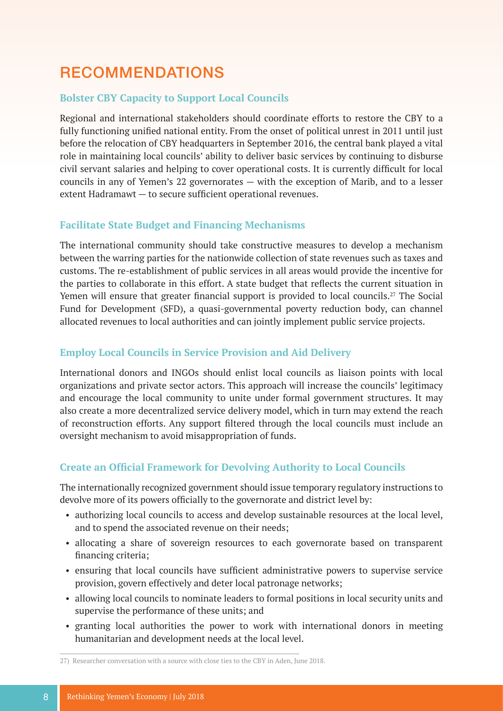# RECOMMENDATIONS

#### **Bolster CBY Capacity to Support Local Councils**

Regional and international stakeholders should coordinate efforts to restore the CBY to a fully functioning unified national entity. From the onset of political unrest in 2011 until just before the relocation of CBY headquarters in September 2016, the central bank played a vital role in maintaining local councils' ability to deliver basic services by continuing to disburse civil servant salaries and helping to cover operational costs. It is currently difficult for local councils in any of Yemen's 22 governorates — with the exception of Marib, and to a lesser extent Hadramawt — to secure sufficient operational revenues.

#### **Facilitate State Budget and Financing Mechanisms**

The international community should take constructive measures to develop a mechanism between the warring parties for the nationwide collection of state revenues such as taxes and customs. The re-establishment of public services in all areas would provide the incentive for the parties to collaborate in this effort. A state budget that reflects the current situation in Yemen will ensure that greater financial support is provided to local councils.<sup>27</sup> The Social Fund for Development (SFD), a quasi-governmental poverty reduction body, can channel allocated revenues to local authorities and can jointly implement public service projects.

#### **Employ Local Councils in Service Provision and Aid Delivery**

International donors and INGOs should enlist local councils as liaison points with local organizations and private sector actors. This approach will increase the councils' legitimacy and encourage the local community to unite under formal government structures. It may also create a more decentralized service delivery model, which in turn may extend the reach of reconstruction efforts. Any support filtered through the local councils must include an oversight mechanism to avoid misappropriation of funds.

#### **Create an Official Framework for Devolving Authority to Local Councils**

The internationally recognized government should issue temporary regulatory instructions to devolve more of its powers officially to the governorate and district level by:

- authorizing local councils to access and develop sustainable resources at the local level, and to spend the associated revenue on their needs;
- allocating a share of sovereign resources to each governorate based on transparent financing criteria;
- ensuring that local councils have sufficient administrative powers to supervise service provision, govern effectively and deter local patronage networks;
- allowing local councils to nominate leaders to formal positions in local security units and supervise the performance of these units; and
- granting local authorities the power to work with international donors in meeting humanitarian and development needs at the local level.

<sup>27)</sup> Researcher conversation with a source with close ties to the CBY in Aden, June 2018.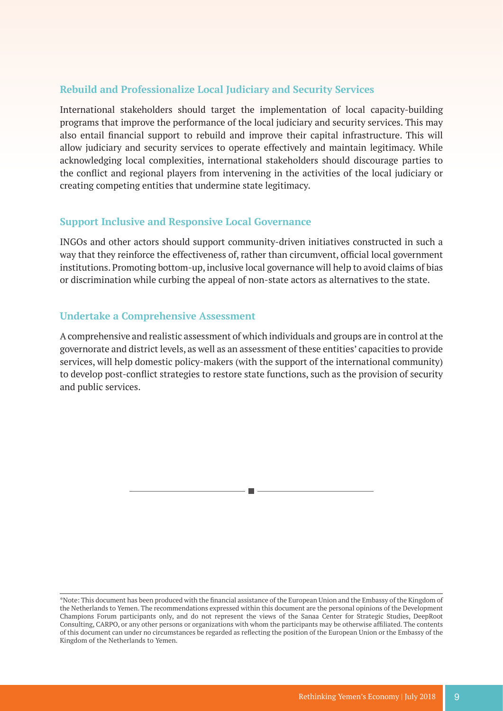#### **Rebuild and Professionalize Local Judiciary and Security Services**

International stakeholders should target the implementation of local capacity-building programs that improve the performance of the local judiciary and security services. This may also entail financial support to rebuild and improve their capital infrastructure. This will allow judiciary and security services to operate effectively and maintain legitimacy. While acknowledging local complexities, international stakeholders should discourage parties to the conflict and regional players from intervening in the activities of the local judiciary or creating competing entities that undermine state legitimacy.

#### **Support Inclusive and Responsive Local Governance**

INGOs and other actors should support community-driven initiatives constructed in such a way that they reinforce the effectiveness of, rather than circumvent, official local government institutions. Promoting bottom-up, inclusive local governance will help to avoid claims of bias or discrimination while curbing the appeal of non-state actors as alternatives to the state.

#### **Undertake a Comprehensive Assessment**

A comprehensive and realistic assessment of which individuals and groups are in control at the governorate and district levels, as well as an assessment of these entities' capacities to provide services, will help domestic policy-makers (with the support of the international community) to develop post-conflict strategies to restore state functions, such as the provision of security and public services.



<sup>\*</sup>Note: This document has been produced with the financial assistance of the European Union and the Embassy of the Kingdom of the Netherlands to Yemen. The recommendations expressed within this document are the personal opinions of the Development Champions Forum participants only, and do not represent the views of the Sanaa Center for Strategic Studies, DeepRoot Consulting, CARPO, or any other persons or organizations with whom the participants may be otherwise affiliated. The contents of this document can under no circumstances be regarded as reflecting the position of the European Union or the Embassy of the Kingdom of the Netherlands to Yemen.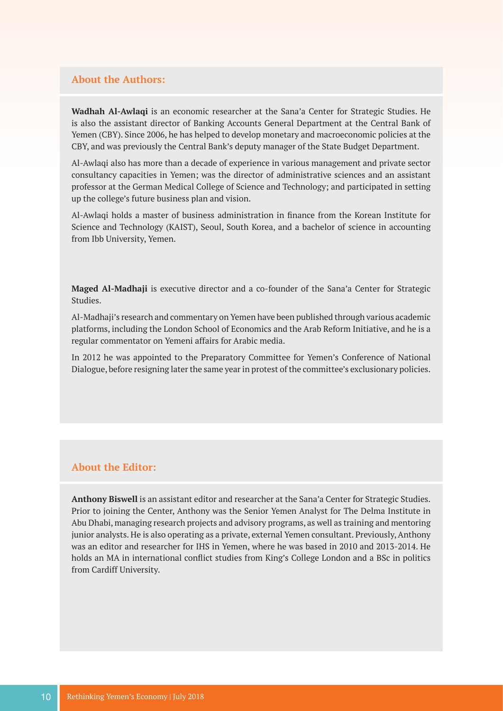#### **About the Authors:**

**Wadhah Al-Awlaqi** is an economic researcher at the Sana'a Center for Strategic Studies. He is also the assistant director of Banking Accounts General Department at the Central Bank of Yemen (CBY). Since 2006, he has helped to develop monetary and macroeconomic policies at the CBY, and was previously the Central Bank's deputy manager of the State Budget Department.

Al-Awlaqi also has more than a decade of experience in various management and private sector consultancy capacities in Yemen; was the director of administrative sciences and an assistant professor at the German Medical College of Science and Technology; and participated in setting up the college's future business plan and vision.

Al-Awlaqi holds a master of business administration in finance from the Korean Institute for Science and Technology (KAIST), Seoul, South Korea, and a bachelor of science in accounting from Ibb University, Yemen.

**Maged Al-Madhaji** is executive director and a co-founder of the Sana'a Center for Strategic Studies.

Al-Madhaji's research and commentary on Yemen have been published through various academic platforms, including the London School of Economics and the Arab Reform Initiative, and he is a regular commentator on Yemeni affairs for Arabic media.

In 2012 he was appointed to the Preparatory Committee for Yemen's Conference of National Dialogue, before resigning later the same year in protest of the committee's exclusionary policies.

#### **About the Editor:**

**Anthony Biswell** is an assistant editor and researcher at the Sana'a Center for Strategic Studies. Prior to joining the Center, Anthony was the Senior Yemen Analyst for The Delma Institute in Abu Dhabi, managing research projects and advisory programs, as well as training and mentoring junior analysts. He is also operating as a private, external Yemen consultant. Previously, Anthony was an editor and researcher for IHS in Yemen, where he was based in 2010 and 2013-2014. He holds an MA in international conflict studies from King's College London and a BSc in politics from Cardiff University.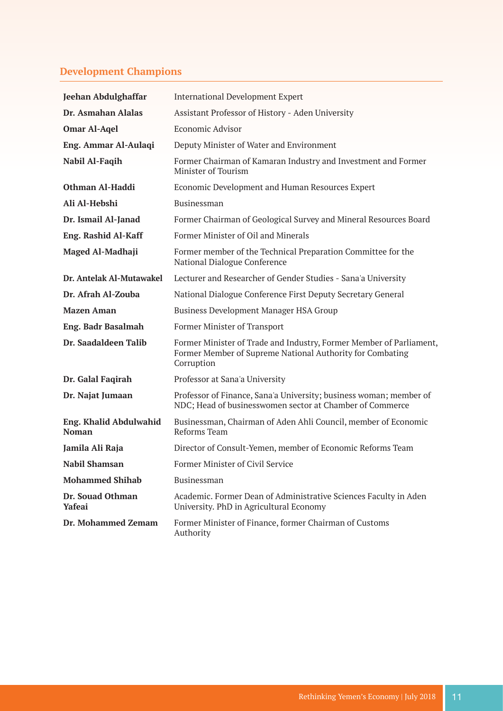### **Development Champions**

| <b>Jeehan Abdulghaffar</b>                    | <b>International Development Expert</b>                                                                                                        |
|-----------------------------------------------|------------------------------------------------------------------------------------------------------------------------------------------------|
| Dr. Asmahan Alalas                            | Assistant Professor of History - Aden University                                                                                               |
| <b>Omar Al-Agel</b>                           | Economic Advisor                                                                                                                               |
| Eng. Ammar Al-Aulaqi                          | Deputy Minister of Water and Environment                                                                                                       |
| Nabil Al-Faqih                                | Former Chairman of Kamaran Industry and Investment and Former<br>Minister of Tourism                                                           |
| Othman Al-Haddi                               | Economic Development and Human Resources Expert                                                                                                |
| Ali Al-Hebshi                                 | Businessman                                                                                                                                    |
| Dr. Ismail Al-Janad                           | Former Chairman of Geological Survey and Mineral Resources Board                                                                               |
| <b>Eng. Rashid Al-Kaff</b>                    | Former Minister of Oil and Minerals                                                                                                            |
| Maged Al-Madhaji                              | Former member of the Technical Preparation Committee for the<br>National Dialogue Conference                                                   |
| Dr. Antelak Al-Mutawakel                      | Lecturer and Researcher of Gender Studies - Sana'a University                                                                                  |
| Dr. Afrah Al-Zouba                            | National Dialogue Conference First Deputy Secretary General                                                                                    |
| <b>Mazen Aman</b>                             | <b>Business Development Manager HSA Group</b>                                                                                                  |
| Eng. Badr Basalmah                            | Former Minister of Transport                                                                                                                   |
| Dr. Saadaldeen Talib                          | Former Minister of Trade and Industry, Former Member of Parliament,<br>Former Member of Supreme National Authority for Combating<br>Corruption |
| Dr. Galal Faqirah                             | Professor at Sana'a University                                                                                                                 |
| Dr. Najat Jumaan                              | Professor of Finance, Sana'a University; business woman; member of<br>NDC; Head of businesswomen sector at Chamber of Commerce                 |
| <b>Eng. Khalid Abdulwahid</b><br><b>Noman</b> | Businessman, Chairman of Aden Ahli Council, member of Economic<br>Reforms Team                                                                 |
| Jamila Ali Raja                               | Director of Consult-Yemen, member of Economic Reforms Team                                                                                     |
| Nabil Shamsan                                 | Former Minister of Civil Service                                                                                                               |
| <b>Mohammed Shihab</b>                        | Businessman                                                                                                                                    |
| Dr. Souad Othman<br><b>Yafeai</b>             | Academic. Former Dean of Administrative Sciences Faculty in Aden<br>University. PhD in Agricultural Economy                                    |
| Dr. Mohammed Zemam                            | Former Minister of Finance, former Chairman of Customs<br>Authority                                                                            |